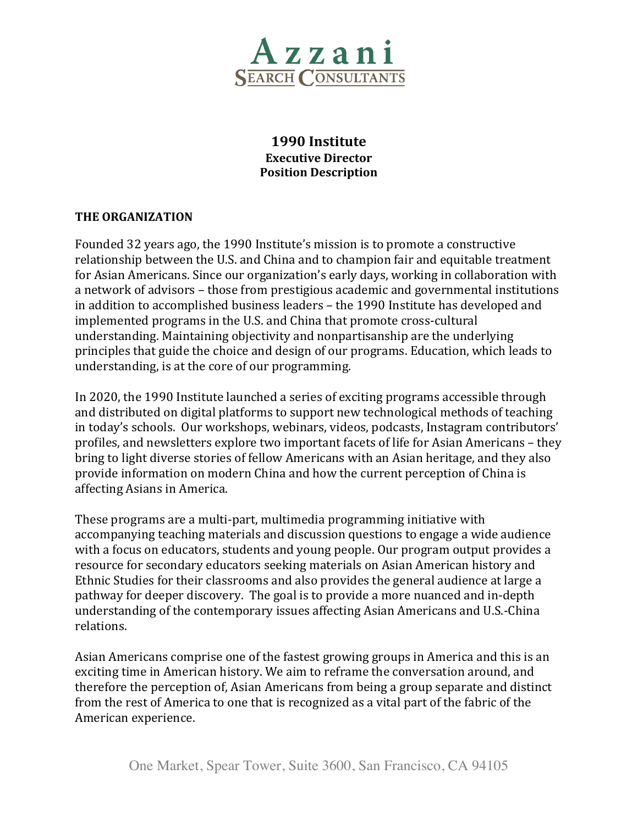

# **1990 Institute Executive Director Position Description**

## **THE ORGANIZATION**

Founded 32 years ago, the 1990 Institute's mission is to promote a constructive relationship between the U.S. and China and to champion fair and equitable treatment for Asian Americans. Since our organization's early days, working in collaboration with a network of advisors – those from prestigious academic and governmental institutions in addition to accomplished business leaders – the 1990 Institute has developed and implemented programs in the U.S. and China that promote cross-cultural understanding. Maintaining objectivity and nonpartisanship are the underlying principles that guide the choice and design of our programs. Education, which leads to understanding, is at the core of our programming.

In 2020, the 1990 Institute launched a series of exciting programs accessible through and distributed on digital platforms to support new technological methods of teaching in today's schools. Our workshops, webinars, videos, podcasts, Instagram contributors' profiles, and newsletters explore two important facets of life for Asian Americans – they bring to light diverse stories of fellow Americans with an Asian heritage, and they also provide information on modern China and how the current perception of China is affecting Asians in America.

These programs are a multi-part, multimedia programming initiative with accompanying teaching materials and discussion questions to engage a wide audience with a focus on educators, students and young people. Our program output provides a resource for secondary educators seeking materials on Asian American history and Ethnic Studies for their classrooms and also provides the general audience at large a pathway for deeper discovery. The goal is to provide a more nuanced and in-depth understanding of the contemporary issues affecting Asian Americans and U.S.-China relations.

Asian Americans comprise one of the fastest growing groups in America and this is an exciting time in American history. We aim to reframe the conversation around, and therefore the perception of, Asian Americans from being a group separate and distinct from the rest of America to one that is recognized as a vital part of the fabric of the American experience.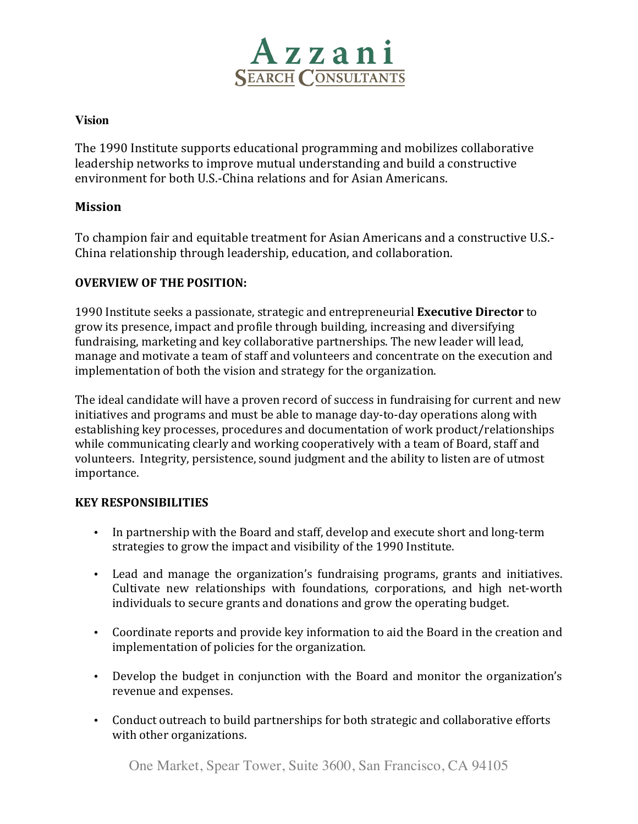

#### **Vision**

The 1990 Institute supports educational programming and mobilizes collaborative leadership networks to improve mutual understanding and build a constructive environment for both U.S.-China relations and for Asian Americans.

### **Mission**

To champion fair and equitable treatment for Asian Americans and a constructive U.S.-China relationship through leadership, education, and collaboration.

### **OVERVIEW OF THE POSITION:**

1990 Institute seeks a passionate, strategic and entrepreneurial **Executive Director** to grow its presence, impact and profile through building, increasing and diversifying fundraising, marketing and key collaborative partnerships. The new leader will lead, manage and motivate a team of staff and volunteers and concentrate on the execution and implementation of both the vision and strategy for the organization.

The ideal candidate will have a proven record of success in fundraising for current and new initiatives and programs and must be able to manage day-to-day operations along with establishing key processes, procedures and documentation of work product/relationships while communicating clearly and working cooperatively with a team of Board, staff and volunteers. Integrity, persistence, sound judgment and the ability to listen are of utmost importance.

### **KEY RESPONSIBILITIES**

- In partnership with the Board and staff, develop and execute short and long-term strategies to grow the impact and visibility of the 1990 Institute.
- Lead and manage the organization's fundraising programs, grants and initiatives. Cultivate new relationships with foundations, corporations, and high net-worth individuals to secure grants and donations and grow the operating budget.
- Coordinate reports and provide key information to aid the Board in the creation and implementation of policies for the organization.
- Develop the budget in conjunction with the Board and monitor the organization's revenue and expenses.
- Conduct outreach to build partnerships for both strategic and collaborative efforts with other organizations.

One Market, Spear Tower, Suite 3600, San Francisco, CA 94105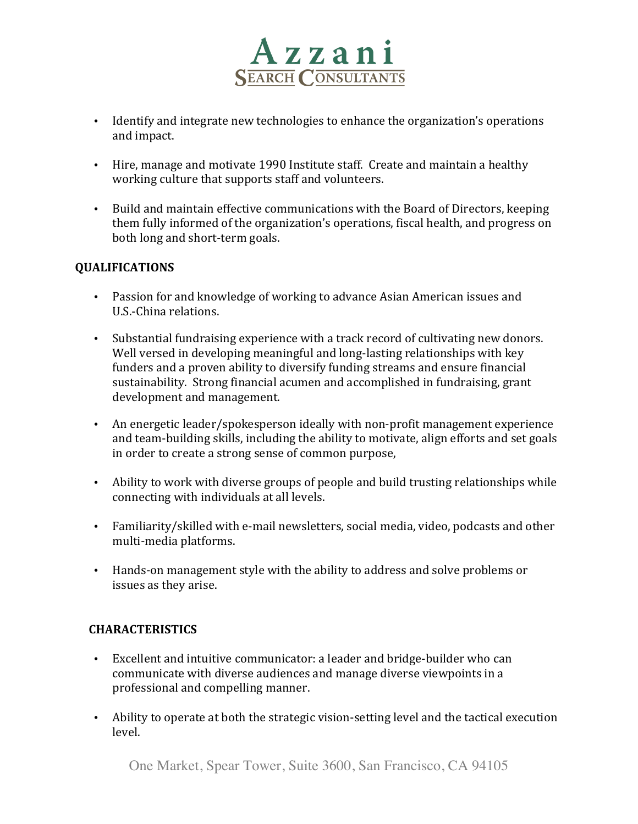

- Identify and integrate new technologies to enhance the organization's operations and impact.
- Hire, manage and motivate 1990 Institute staff. Create and maintain a healthy working culture that supports staff and volunteers.
- Build and maintain effective communications with the Board of Directors, keeping them fully informed of the organization's operations, fiscal health, and progress on both long and short-term goals.

### **QUALIFICATIONS**

- Passion for and knowledge of working to advance Asian American issues and U.S.-China relations.
- Substantial fundraising experience with a track record of cultivating new donors. Well versed in developing meaningful and long-lasting relationships with key funders and a proven ability to diversify funding streams and ensure financial sustainability. Strong financial acumen and accomplished in fundraising, grant development and management.
- An energetic leader/spokesperson ideally with non-profit management experience and team-building skills, including the ability to motivate, align efforts and set goals in order to create a strong sense of common purpose,
- Ability to work with diverse groups of people and build trusting relationships while connecting with individuals at all levels.
- Familiarity/skilled with e-mail newsletters, social media, video, podcasts and other multi-media platforms.
- Hands-on management style with the ability to address and solve problems or issues as they arise.

## **CHARACTERISTICS**

- Excellent and intuitive communicator: a leader and bridge-builder who can communicate with diverse audiences and manage diverse viewpoints in a professional and compelling manner.
- Ability to operate at both the strategic vision-setting level and the tactical execution level.

One Market, Spear Tower, Suite 3600, San Francisco, CA 94105